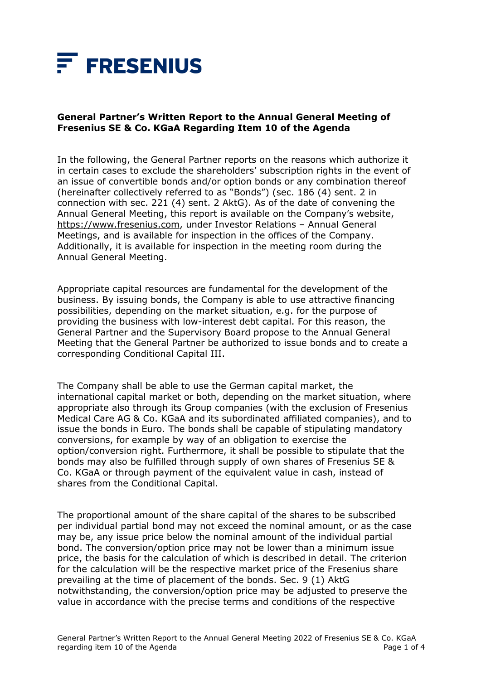

# **General Partner's Written Report to the Annual General Meeting of Fresenius SE & Co. KGaA Regarding Item 10 of the Agenda**

In the following, the General Partner reports on the reasons which authorize it in certain cases to exclude the shareholders' subscription rights in the event of an issue of convertible bonds and/or option bonds or any combination thereof (hereinafter collectively referred to as "Bonds") (sec. 186 (4) sent. 2 in connection with sec. 221 (4) sent. 2 AktG). As of the date of convening the Annual General Meeting, this report is available on the Company's website, [https://www.fresenius.com,](https://www.fresenius.com/) under Investor Relations – Annual General Meetings, and is available for inspection in the offices of the Company. Additionally, it is available for inspection in the meeting room during the Annual General Meeting.

Appropriate capital resources are fundamental for the development of the business. By issuing bonds, the Company is able to use attractive financing possibilities, depending on the market situation, e.g. for the purpose of providing the business with low-interest debt capital. For this reason, the General Partner and the Supervisory Board propose to the Annual General Meeting that the General Partner be authorized to issue bonds and to create a corresponding Conditional Capital III.

The Company shall be able to use the German capital market, the international capital market or both, depending on the market situation, where appropriate also through its Group companies (with the exclusion of Fresenius Medical Care AG & Co. KGaA and its subordinated affiliated companies), and to issue the bonds in Euro. The bonds shall be capable of stipulating mandatory conversions, for example by way of an obligation to exercise the option/conversion right. Furthermore, it shall be possible to stipulate that the bonds may also be fulfilled through supply of own shares of Fresenius SE & Co. KGaA or through payment of the equivalent value in cash, instead of shares from the Conditional Capital.

The proportional amount of the share capital of the shares to be subscribed per individual partial bond may not exceed the nominal amount, or as the case may be, any issue price below the nominal amount of the individual partial bond. The conversion/option price may not be lower than a minimum issue price, the basis for the calculation of which is described in detail. The criterion for the calculation will be the respective market price of the Fresenius share prevailing at the time of placement of the bonds. Sec. 9 (1) AktG notwithstanding, the conversion/option price may be adjusted to preserve the value in accordance with the precise terms and conditions of the respective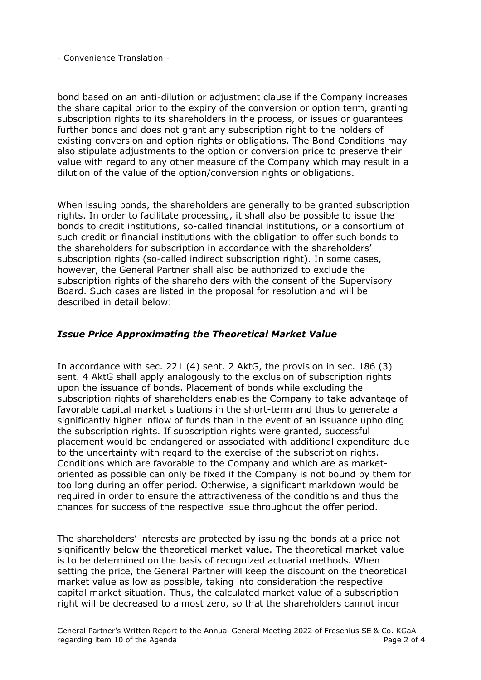- Convenience Translation -

bond based on an anti-dilution or adjustment clause if the Company increases the share capital prior to the expiry of the conversion or option term, granting subscription rights to its shareholders in the process, or issues or guarantees further bonds and does not grant any subscription right to the holders of existing conversion and option rights or obligations. The Bond Conditions may also stipulate adjustments to the option or conversion price to preserve their value with regard to any other measure of the Company which may result in a dilution of the value of the option/conversion rights or obligations.

When issuing bonds, the shareholders are generally to be granted subscription rights. In order to facilitate processing, it shall also be possible to issue the bonds to credit institutions, so-called financial institutions, or a consortium of such credit or financial institutions with the obligation to offer such bonds to the shareholders for subscription in accordance with the shareholders' subscription rights (so-called indirect subscription right). In some cases, however, the General Partner shall also be authorized to exclude the subscription rights of the shareholders with the consent of the Supervisory Board. Such cases are listed in the proposal for resolution and will be described in detail below:

## *Issue Price Approximating the Theoretical Market Value*

In accordance with sec. 221 (4) sent. 2 AktG, the provision in sec. 186 (3) sent. 4 AktG shall apply analogously to the exclusion of subscription rights upon the issuance of bonds. Placement of bonds while excluding the subscription rights of shareholders enables the Company to take advantage of favorable capital market situations in the short-term and thus to generate a significantly higher inflow of funds than in the event of an issuance upholding the subscription rights. If subscription rights were granted, successful placement would be endangered or associated with additional expenditure due to the uncertainty with regard to the exercise of the subscription rights. Conditions which are favorable to the Company and which are as marketoriented as possible can only be fixed if the Company is not bound by them for too long during an offer period. Otherwise, a significant markdown would be required in order to ensure the attractiveness of the conditions and thus the chances for success of the respective issue throughout the offer period.

The shareholders' interests are protected by issuing the bonds at a price not significantly below the theoretical market value. The theoretical market value is to be determined on the basis of recognized actuarial methods. When setting the price, the General Partner will keep the discount on the theoretical market value as low as possible, taking into consideration the respective capital market situation. Thus, the calculated market value of a subscription right will be decreased to almost zero, so that the shareholders cannot incur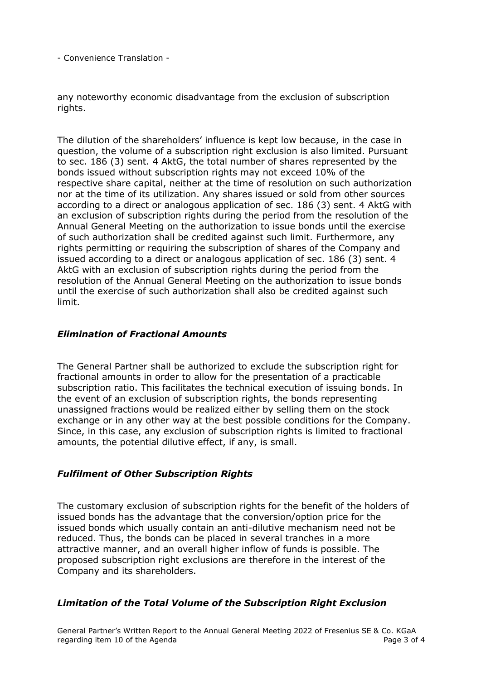- Convenience Translation -

any noteworthy economic disadvantage from the exclusion of subscription rights.

The dilution of the shareholders' influence is kept low because, in the case in question, the volume of a subscription right exclusion is also limited. Pursuant to sec. 186 (3) sent. 4 AktG, the total number of shares represented by the bonds issued without subscription rights may not exceed 10% of the respective share capital, neither at the time of resolution on such authorization nor at the time of its utilization. Any shares issued or sold from other sources according to a direct or analogous application of sec. 186 (3) sent. 4 AktG with an exclusion of subscription rights during the period from the resolution of the Annual General Meeting on the authorization to issue bonds until the exercise of such authorization shall be credited against such limit. Furthermore, any rights permitting or requiring the subscription of shares of the Company and issued according to a direct or analogous application of sec. 186 (3) sent. 4 AktG with an exclusion of subscription rights during the period from the resolution of the Annual General Meeting on the authorization to issue bonds until the exercise of such authorization shall also be credited against such limit.

## *Elimination of Fractional Amounts*

The General Partner shall be authorized to exclude the subscription right for fractional amounts in order to allow for the presentation of a practicable subscription ratio. This facilitates the technical execution of issuing bonds. In the event of an exclusion of subscription rights, the bonds representing unassigned fractions would be realized either by selling them on the stock exchange or in any other way at the best possible conditions for the Company. Since, in this case, any exclusion of subscription rights is limited to fractional amounts, the potential dilutive effect, if any, is small.

## *Fulfilment of Other Subscription Rights*

The customary exclusion of subscription rights for the benefit of the holders of issued bonds has the advantage that the conversion/option price for the issued bonds which usually contain an anti-dilutive mechanism need not be reduced. Thus, the bonds can be placed in several tranches in a more attractive manner, and an overall higher inflow of funds is possible. The proposed subscription right exclusions are therefore in the interest of the Company and its shareholders.

## *Limitation of the Total Volume of the Subscription Right Exclusion*